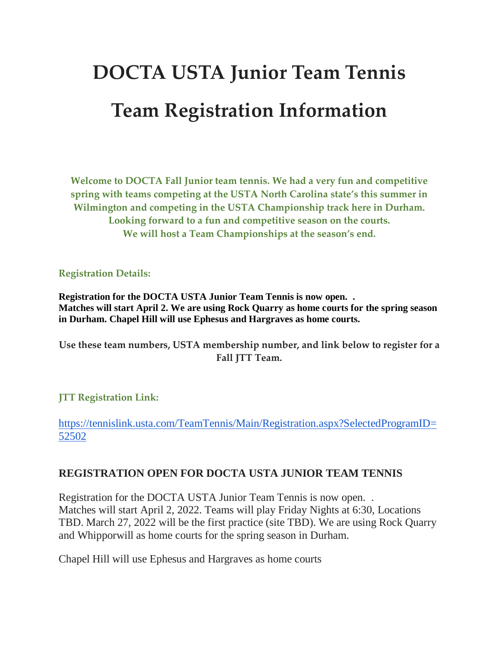## **DOCTA USTA Junior Team Tennis Team Registration Information**

**Welcome to DOCTA Fall Junior team tennis. We had a very fun and competitive spring with teams competing at the USTA North Carolina state's this summer in Wilmington and competing in the USTA Championship track here in Durham. Looking forward to a fun and competitive season on the courts. We will host a Team Championships at the season's end.**

**Registration Details:**

**Registration for the DOCTA USTA Junior Team Tennis is now open. . Matches will start April 2. We are using Rock Quarry as home courts for the spring season in Durham. Chapel Hill will use Ephesus and Hargraves as home courts.**

**Use these team numbers, USTA membership number, and link below to register for a Fall JTT Team.**

## **JTT Registration Link:**

[https://tennislink.usta.com/TeamTennis/Main/Registration.aspx?SelectedProgramID=](https://tennislink.usta.com/TeamTennis/Main/Registration.aspx?SelectedProgramID=52502) [52502](https://tennislink.usta.com/TeamTennis/Main/Registration.aspx?SelectedProgramID=52502)

## **REGISTRATION OPEN FOR DOCTA USTA JUNIOR TEAM TENNIS**

Registration for the DOCTA USTA Junior Team Tennis is now open. . Matches will start April 2, 2022. Teams will play Friday Nights at 6:30, Locations TBD. March 27, 2022 will be the first practice (site TBD). We are using Rock Quarry and Whipporwill as home courts for the spring season in Durham.

Chapel Hill will use Ephesus and Hargraves as home courts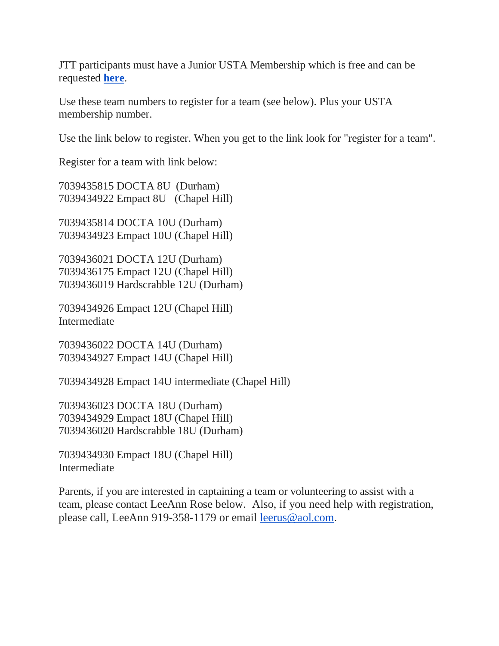JTT participants must have a Junior USTA Membership which is free and can be requested **[here](http://r20.rs6.net/tn.jsp?f=001ajJH8D7bs4egI8LmpJZ4ILwxjRfBQ9sdxhvPo9t_oa1gRSwtrhM6V8cZhwWkWMZE7Jd2LwX9v-7kqvLAO0BhvFXxEqptTOHMg7bPYoJyviV1FVaaUtbSf8zybNXJUabniOGSxipi-ZOlVkAIyLENsFcYi3ovjh1WIxJcvoSPo2yqK_HBa0Q_LSHJ03Cw8HTVUVUNMbsJAXTuvMSxj839KIOLZP3upSqjBwYlVJbu7IQ=&c=gAKyp0XGqlaTFxx_pBoCW9WzjMnosJjhBR-2jQJClroTws6oSbdXuw==&ch=q5iBqoUV_5EdgiEGd90E5wKd1IJTT6EiiaKWxdxzNB65Z8gfDqAH9g==)**.

Use these team numbers to register for a team (see below). Plus your USTA membership number.

Use the link below to register. When you get to the link look for "register for a team".

Register for a team with link below:

7039435815 DOCTA 8U (Durham) 7039434922 Empact 8U (Chapel Hill)

7039435814 DOCTA 10U (Durham) 7039434923 Empact 10U (Chapel Hill)

7039436021 DOCTA 12U (Durham) 7039436175 Empact 12U (Chapel Hill) 7039436019 Hardscrabble 12U (Durham)

7039434926 Empact 12U (Chapel Hill) Intermediate

7039436022 DOCTA 14U (Durham) 7039434927 Empact 14U (Chapel Hill)

7039434928 Empact 14U intermediate (Chapel Hill)

7039436023 DOCTA 18U (Durham) 7039434929 Empact 18U (Chapel Hill) 7039436020 Hardscrabble 18U (Durham)

7039434930 Empact 18U (Chapel Hill) Intermediate

Parents, if you are interested in captaining a team or volunteering to assist with a team, please contact LeeAnn Rose below. Also, if you need help with registration, please call, LeeAnn 919-358-1179 or email [leerus@aol.com](mailto:leerus@aol.com).